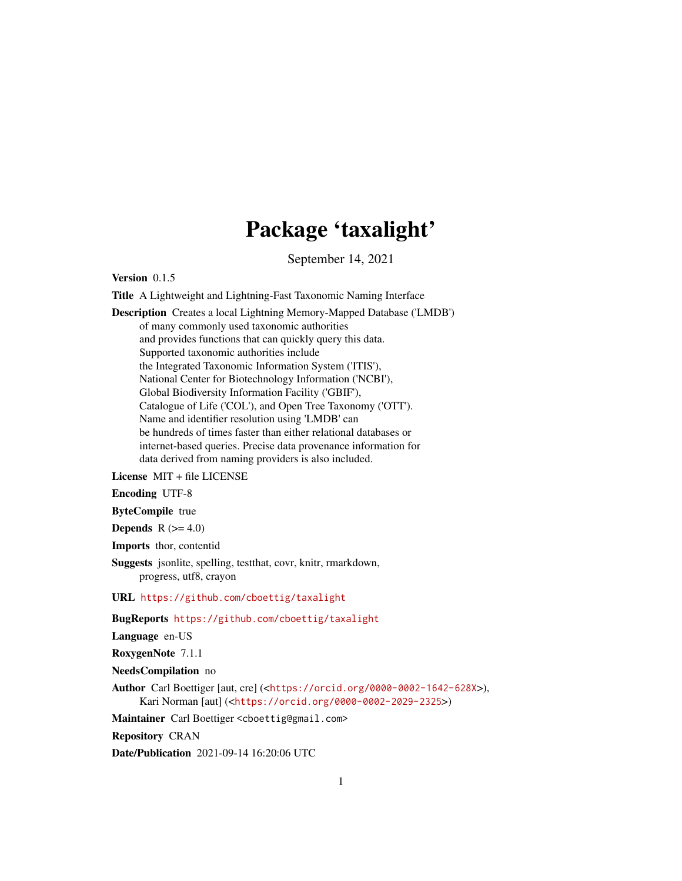## Package 'taxalight'

September 14, 2021

<span id="page-0-0"></span>Version 0.1.5

Title A Lightweight and Lightning-Fast Taxonomic Naming Interface

Description Creates a local Lightning Memory-Mapped Database ('LMDB') of many commonly used taxonomic authorities and provides functions that can quickly query this data. Supported taxonomic authorities include the Integrated Taxonomic Information System ('ITIS'), National Center for Biotechnology Information ('NCBI'), Global Biodiversity Information Facility ('GBIF'), Catalogue of Life ('COL'), and Open Tree Taxonomy ('OTT'). Name and identifier resolution using 'LMDB' can be hundreds of times faster than either relational databases or internet-based queries. Precise data provenance information for data derived from naming providers is also included.

License MIT + file LICENSE

Encoding UTF-8

ByteCompile true

**Depends**  $R$  ( $>= 4.0$ )

Imports thor, contentid

Suggests jsonlite, spelling, testthat, covr, knitr, rmarkdown, progress, utf8, crayon

URL <https://github.com/cboettig/taxalight>

BugReports <https://github.com/cboettig/taxalight>

Language en-US

RoxygenNote 7.1.1

NeedsCompilation no

Author Carl Boettiger [aut, cre] (<<https://orcid.org/0000-0002-1642-628X>>), Kari Norman [aut] (<<https://orcid.org/0000-0002-2029-2325>>)

Maintainer Carl Boettiger <cboettig@gmail.com>

Repository CRAN

Date/Publication 2021-09-14 16:20:06 UTC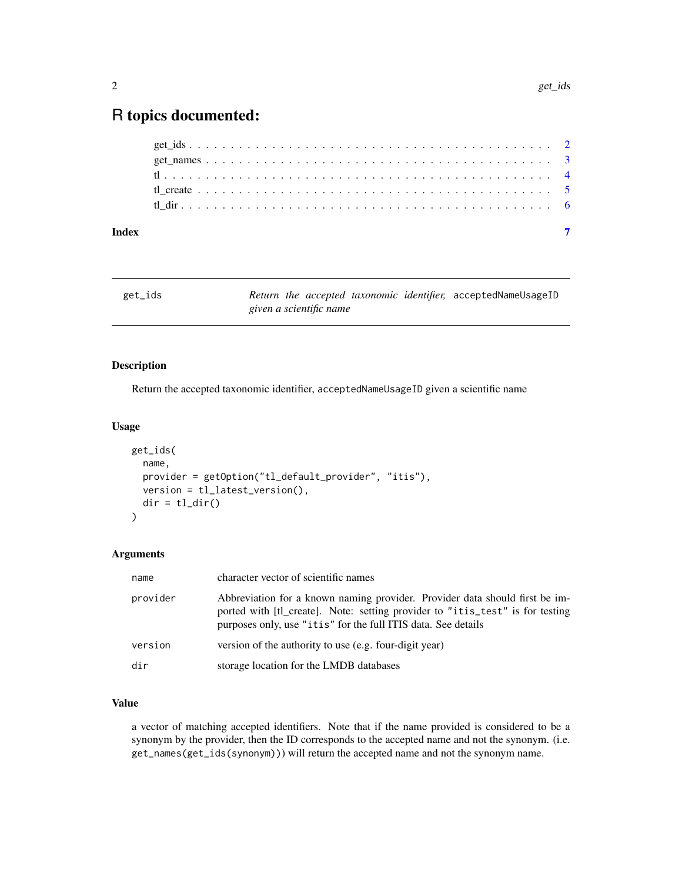## <span id="page-1-0"></span>R topics documented:

| Index |  |  |  |  |  |  |  |  |  |  |  |  |  |  |  |  |  |  |  |  |  |
|-------|--|--|--|--|--|--|--|--|--|--|--|--|--|--|--|--|--|--|--|--|--|
|       |  |  |  |  |  |  |  |  |  |  |  |  |  |  |  |  |  |  |  |  |  |
|       |  |  |  |  |  |  |  |  |  |  |  |  |  |  |  |  |  |  |  |  |  |
|       |  |  |  |  |  |  |  |  |  |  |  |  |  |  |  |  |  |  |  |  |  |
|       |  |  |  |  |  |  |  |  |  |  |  |  |  |  |  |  |  |  |  |  |  |
|       |  |  |  |  |  |  |  |  |  |  |  |  |  |  |  |  |  |  |  |  |  |

| get_ids |  |                         |  | Return the accepted taxonomic identifier, acceptedNameUsageID |
|---------|--|-------------------------|--|---------------------------------------------------------------|
|         |  | given a scientific name |  |                                                               |

#### Description

Return the accepted taxonomic identifier, acceptedNameUsageID given a scientific name

#### Usage

```
get_ids(
  name,
 provider = getOption("tl_default_provider", "itis"),
 version = tl_latest_version(),
 dir = tl\_dir()\mathcal{L}
```
#### Arguments

| name     | character vector of scientific names                                                                                                                                                                                          |
|----------|-------------------------------------------------------------------------------------------------------------------------------------------------------------------------------------------------------------------------------|
| provider | Abbreviation for a known naming provider. Provider data should first be im-<br>ported with [t]_create]. Note: setting provider to "itis_test" is for testing<br>purposes only, use "itis" for the full ITIS data. See details |
| version  | version of the authority to use (e.g. four-digit year)                                                                                                                                                                        |
| dir      | storage location for the LMDB databases                                                                                                                                                                                       |

#### Value

a vector of matching accepted identifiers. Note that if the name provided is considered to be a synonym by the provider, then the ID corresponds to the accepted name and not the synonym. (i.e. get\_names(get\_ids(synonym))) will return the accepted name and not the synonym name.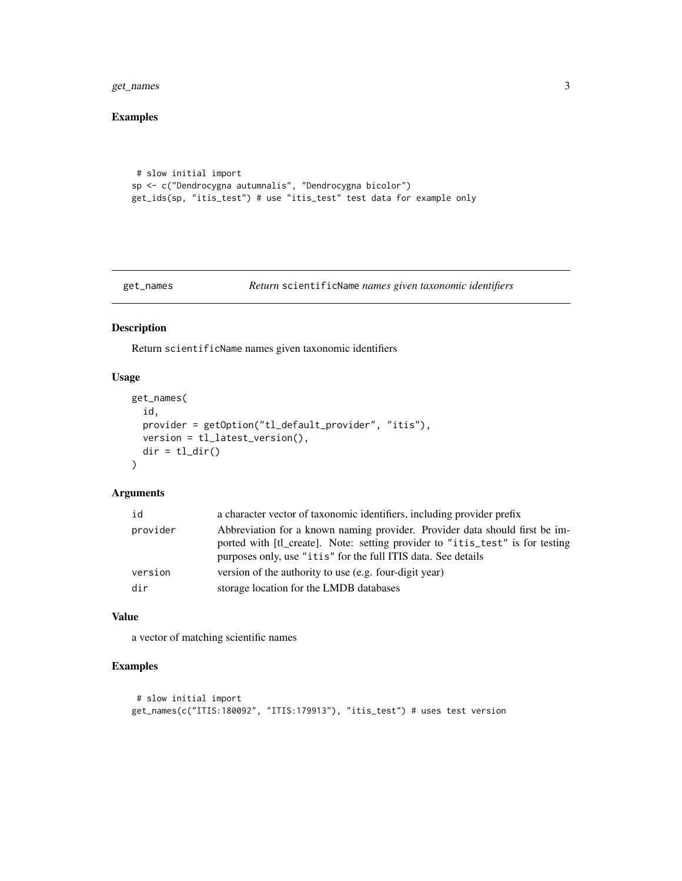<span id="page-2-0"></span>get\_names 3

#### Examples

```
# slow initial import
sp <- c("Dendrocygna autumnalis", "Dendrocygna bicolor")
get_ids(sp, "itis_test") # use "itis_test" test data for example only
```

```
get_names Return scientificName names given taxonomic identifiers
```
#### Description

Return scientificName names given taxonomic identifiers

#### Usage

```
get_names(
  id,
 provider = getOption("tl_default_provider", "itis"),
 version = tl_latest_version(),
 dir = tl\_dir()\mathcal{E}
```
#### Arguments

| id       | a character vector of taxonomic identifiers, including provider prefix                                                                                                                                                        |
|----------|-------------------------------------------------------------------------------------------------------------------------------------------------------------------------------------------------------------------------------|
| provider | Abbreviation for a known naming provider. Provider data should first be im-<br>ported with [t] create]. Note: setting provider to "itis_test" is for testing<br>purposes only, use "itis" for the full ITIS data. See details |
| version  | version of the authority to use (e.g. four-digit year)                                                                                                                                                                        |
| dir      | storage location for the LMDB databases                                                                                                                                                                                       |

#### Value

a vector of matching scientific names

#### Examples

```
# slow initial import
get_names(c("ITIS:180092", "ITIS:179913"), "itis_test") # uses test version
```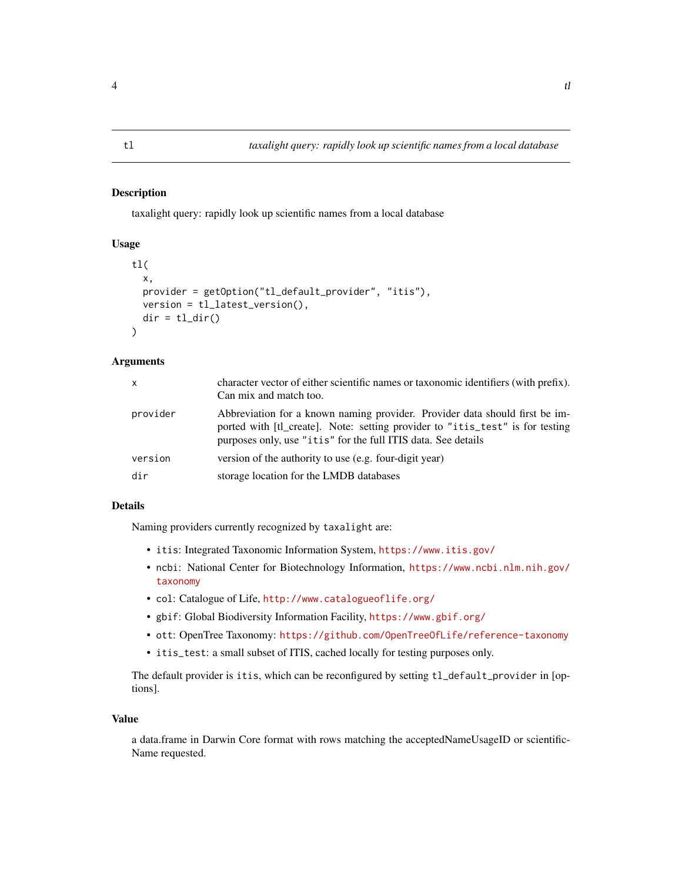#### <span id="page-3-0"></span>Description

taxalight query: rapidly look up scientific names from a local database

#### Usage

```
tl(
  x,
 provider = getOption("tl_default_provider", "itis"),
  version = tl_latest_version(),
  dir = tl\_dir())
```
#### Arguments

| X        | character vector of either scientific names or taxonomic identifiers (with prefix).<br>Can mix and match too.                                                                                                                 |
|----------|-------------------------------------------------------------------------------------------------------------------------------------------------------------------------------------------------------------------------------|
| provider | Abbreviation for a known naming provider. Provider data should first be im-<br>ported with [t]_create]. Note: setting provider to "itis_test" is for testing<br>purposes only, use "itis" for the full ITIS data. See details |
| version  | version of the authority to use (e.g. four-digit year)                                                                                                                                                                        |
| dir      | storage location for the LMDB databases                                                                                                                                                                                       |

#### Details

Naming providers currently recognized by taxalight are:

- itis: Integrated Taxonomic Information System, <https://www.itis.gov/>
- ncbi: National Center for Biotechnology Information, [https://www.ncbi.nlm.nih.gov/](https://www.ncbi.nlm.nih.gov/taxonomy) [taxonomy](https://www.ncbi.nlm.nih.gov/taxonomy)
- col: Catalogue of Life, <http://www.catalogueoflife.org/>
- gbif: Global Biodiversity Information Facility, <https://www.gbif.org/>
- ott: OpenTree Taxonomy: <https://github.com/OpenTreeOfLife/reference-taxonomy>
- itis\_test: a small subset of ITIS, cached locally for testing purposes only.

The default provider is itis, which can be reconfigured by setting tl\_default\_provider in [options].

#### Value

a data.frame in Darwin Core format with rows matching the acceptedNameUsageID or scientific-Name requested.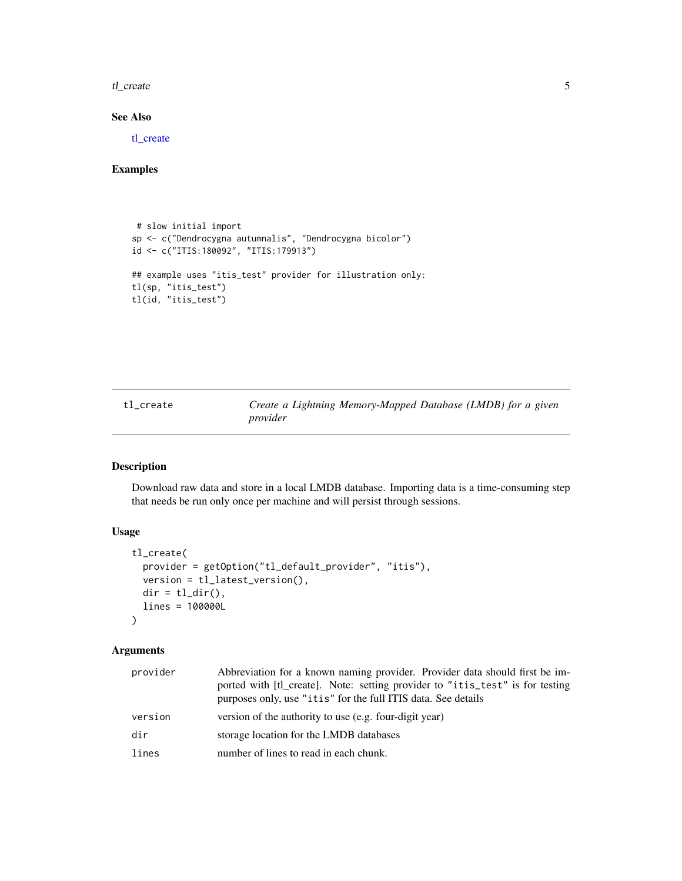<span id="page-4-0"></span>tl\_create 5

#### See Also

[tl\\_create](#page-4-1)

### Examples

```
# slow initial import
sp <- c("Dendrocygna autumnalis", "Dendrocygna bicolor")
id <- c("ITIS:180092", "ITIS:179913")
## example uses "itis_test" provider for illustration only:
tl(sp, "itis_test")
tl(id, "itis_test")
```
<span id="page-4-1"></span>tl\_create *Create a Lightning Memory-Mapped Database (LMDB) for a given provider*

#### Description

Download raw data and store in a local LMDB database. Importing data is a time-consuming step that needs be run only once per machine and will persist through sessions.

#### Usage

```
tl_create(
 provider = getOption("tl_default_provider", "itis"),
 version = tl_latest_version(),
 dir = tl\_dir(),
 lines = 100000L
\mathcal{L}
```
#### Arguments

| provider | Abbreviation for a known naming provider. Provider data should first be im-<br>ported with [t]_create]. Note: setting provider to "itis_test" is for testing<br>purposes only, use "itis" for the full ITIS data. See details |
|----------|-------------------------------------------------------------------------------------------------------------------------------------------------------------------------------------------------------------------------------|
| version  | version of the authority to use (e.g. four-digit year)                                                                                                                                                                        |
| dir      | storage location for the LMDB databases                                                                                                                                                                                       |
| lines    | number of lines to read in each chunk.                                                                                                                                                                                        |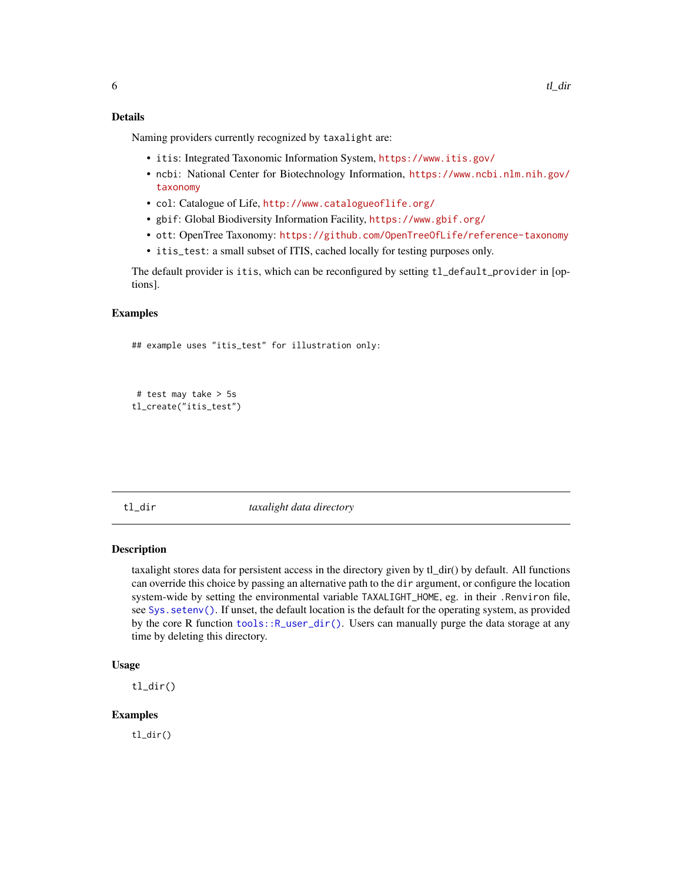#### <span id="page-5-0"></span>Details

Naming providers currently recognized by taxalight are:

- itis: Integrated Taxonomic Information System, <https://www.itis.gov/>
- ncbi: National Center for Biotechnology Information, [https://www.ncbi.nlm.nih.gov/](https://www.ncbi.nlm.nih.gov/taxonomy) [taxonomy](https://www.ncbi.nlm.nih.gov/taxonomy)
- col: Catalogue of Life, <http://www.catalogueoflife.org/>
- gbif: Global Biodiversity Information Facility, <https://www.gbif.org/>
- ott: OpenTree Taxonomy: <https://github.com/OpenTreeOfLife/reference-taxonomy>
- itis\_test: a small subset of ITIS, cached locally for testing purposes only.

The default provider is itis, which can be reconfigured by setting tl\_default\_provider in [options].

#### Examples

```
## example uses "itis_test" for illustration only:
```

```
# test may take > 5s
tl_create("itis_test")
```
tl\_dir *taxalight data directory*

#### Description

taxalight stores data for persistent access in the directory given by tl\_dir() by default. All functions can override this choice by passing an alternative path to the dir argument, or configure the location system-wide by setting the environmental variable TAXALIGHT\_HOME, eg. in their .Renviron file, see [Sys.setenv\(\)](#page-0-0). If unset, the default location is the default for the operating system, as provided by the core R function [tools::R\\_user\\_dir\(\)](#page-0-0). Users can manually purge the data storage at any time by deleting this directory.

#### Usage

tl\_dir()

#### **Examples**

tl\_dir()